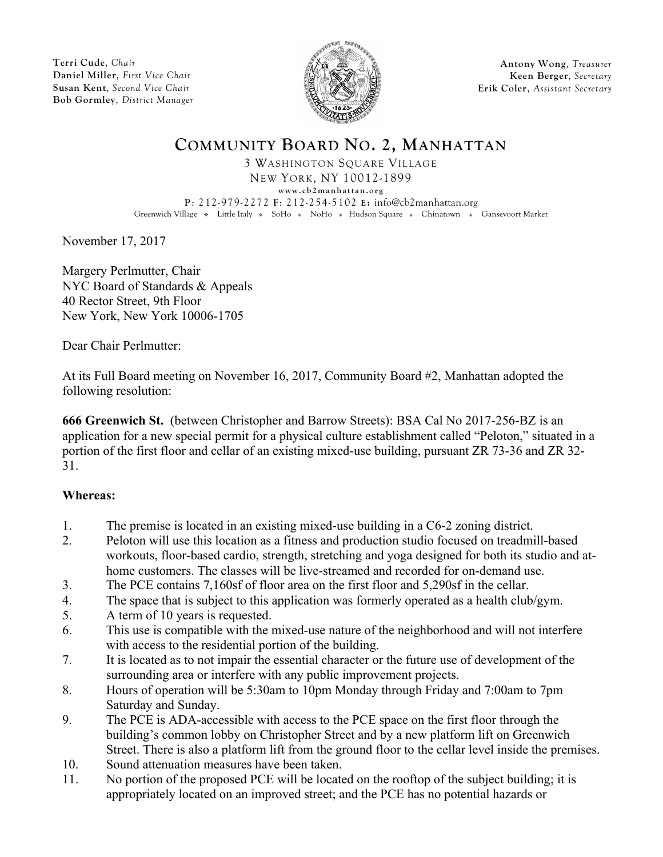**Terri Cude**, *Chair* **Daniel Miller**, *First Vice Chair* **Susan Kent**, *Second Vice Chair* **Bob Gormley**, *District Manager*



**Antony Wong**, *Treasurer* **Keen Berger**, *Secretary* **Erik Coler**, *Assistant Secretary*

## **COMMUNITY BOARD NO. 2, MANHATTAN**

3 WASHINGTON SQUARE VILLAGE NEW YORK, NY 10012-1899 **www.cb2manhattan.org P**: 212-979-2272 **F**: 212-254-5102 **E:** info@cb2manhattan.org

Greenwich Village • Little Italy • SoHo • NoHo • Hudson Square • Chinatown • Gansevoort Market

November 17, 2017

Margery Perlmutter, Chair NYC Board of Standards & Appeals 40 Rector Street, 9th Floor New York, New York 10006-1705

Dear Chair Perlmutter:

At its Full Board meeting on November 16, 2017, Community Board #2, Manhattan adopted the following resolution:

**666 Greenwich St.** (between Christopher and Barrow Streets): BSA Cal No 2017-256-BZ is an application for a new special permit for a physical culture establishment called "Peloton," situated in a portion of the first floor and cellar of an existing mixed-use building, pursuant ZR 73-36 and ZR 32- 31.

## **Whereas:**

- 1. The premise is located in an existing mixed-use building in a C6-2 zoning district.
- 2. Peloton will use this location as a fitness and production studio focused on treadmill-based workouts, floor-based cardio, strength, stretching and yoga designed for both its studio and athome customers. The classes will be live-streamed and recorded for on-demand use.
- 3. The PCE contains 7,160sf of floor area on the first floor and 5,290sf in the cellar.
- 4. The space that is subject to this application was formerly operated as a health club/gym.
- 5. A term of 10 years is requested.
- 6. This use is compatible with the mixed-use nature of the neighborhood and will not interfere with access to the residential portion of the building.
- 7. It is located as to not impair the essential character or the future use of development of the surrounding area or interfere with any public improvement projects.
- 8. Hours of operation will be 5:30am to 10pm Monday through Friday and 7:00am to 7pm Saturday and Sunday.
- 9. The PCE is ADA-accessible with access to the PCE space on the first floor through the building's common lobby on Christopher Street and by a new platform lift on Greenwich Street. There is also a platform lift from the ground floor to the cellar level inside the premises.
- 10. Sound attenuation measures have been taken.
- 11. No portion of the proposed PCE will be located on the rooftop of the subject building; it is appropriately located on an improved street; and the PCE has no potential hazards or